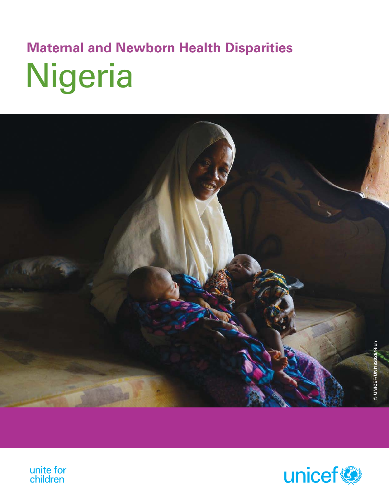# Nigeria **Maternal and Newborn Health Disparities**





unite for<br>children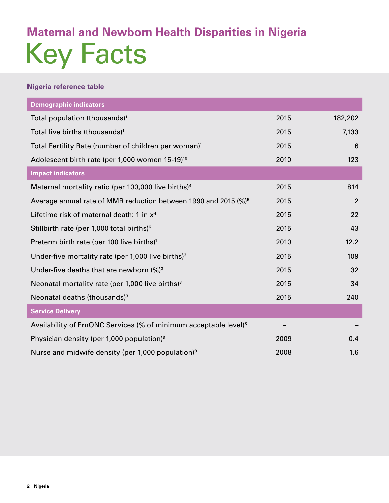### Key Facts **Maternal and Newborn Health Disparities in Nigeria**

#### **Nigeria reference table**

| <b>Demographic indicators</b>                                               |      |                |
|-----------------------------------------------------------------------------|------|----------------|
| Total population (thousands) <sup>1</sup>                                   | 2015 | 182,202        |
| Total live births (thousands) <sup>1</sup>                                  | 2015 | 7,133          |
| Total Fertility Rate (number of children per woman) <sup>1</sup>            | 2015 | 6              |
| Adolescent birth rate (per 1,000 women 15-19) <sup>10</sup>                 | 2010 | 123            |
| <b>Impact indicators</b>                                                    |      |                |
| Maternal mortality ratio (per 100,000 live births) <sup>4</sup>             | 2015 | 814            |
| Average annual rate of MMR reduction between 1990 and 2015 (%) <sup>5</sup> | 2015 | $\overline{2}$ |
| Lifetime risk of maternal death: 1 in $x^4$                                 | 2015 | 22             |
| Stillbirth rate (per 1,000 total births) <sup>6</sup>                       | 2015 | 43             |
| Preterm birth rate (per 100 live births) <sup>7</sup>                       | 2010 | 12.2           |
| Under-five mortality rate (per 1,000 live births) $3$                       | 2015 | 109            |
| Under-five deaths that are newborn $(%)^3$                                  | 2015 | 32             |
| Neonatal mortality rate (per $1,000$ live births) <sup>3</sup>              | 2015 | 34             |
| Neonatal deaths (thousands) <sup>3</sup>                                    | 2015 | 240            |
| <b>Service Delivery</b>                                                     |      |                |
| Availability of EmONC Services (% of minimum acceptable level) <sup>8</sup> |      |                |
| Physician density (per 1,000 population) <sup>9</sup>                       | 2009 | 0.4            |
| Nurse and midwife density (per 1,000 population) <sup>9</sup>               | 2008 | 1.6            |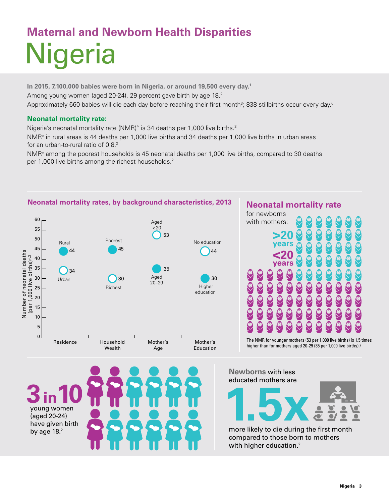## **Nigeria Maternal and Newborn Health Disparities**

**In 2015, 7,100,000 babies were born in Nigeria, or around 19,500 every day.1** Among young women (aged 20-24), 29 percent gave birth by age 18.<sup>2</sup> Approximately 660 babies will die each day before reaching their first month $^3$ ; 838 stillbirths occur every day. $^6$ 

#### **Neonatal mortality rate:**

Nigeria's neonatal mortality rate (NMR)^ is 34 deaths per 1,000 live births. $3$ 

NMR≠ in rural areas is 44 deaths per 1,000 live births and 34 deaths per 1,000 live births in urban areas for an urban-to-rural ratio of  $0.8<sup>2</sup>$ 

NMR≠ among the poorest households is 45 neonatal deaths per 1,000 live births, compared to 30 deaths per 1,000 live births among the richest households.<sup>2</sup>



### $44$   $<sup>44</sup>$ </sup> **years >20 years** The NMR for younger mothers (53 per 1,000 live births) is 1.5 times higher than for mothers aged 20-29 (35 per 1,000 live births).2 **Neonatal mortality rate** for newborns with mothers:



**Newborns** with less educated mothers are



compared to those born to mothers with higher education.<sup>2</sup>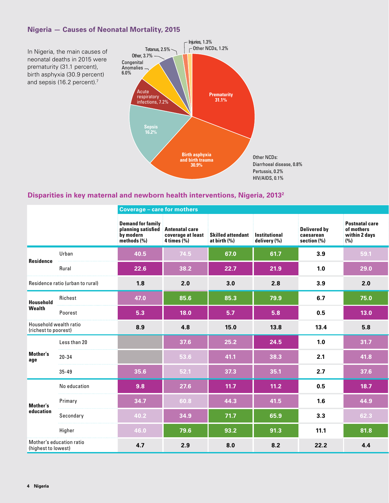#### **Nigeria — Causes of Neonatal Mortality, 2015**



#### **Disparities in key maternal and newborn health interventions, Nigeria, 20132**

|                                                |                                  | <b>Coverage - care for mothers</b>                                                        |                |                                                                      |              |                                                    |                                                             |  |  |  |  |
|------------------------------------------------|----------------------------------|-------------------------------------------------------------------------------------------|----------------|----------------------------------------------------------------------|--------------|----------------------------------------------------|-------------------------------------------------------------|--|--|--|--|
|                                                |                                  | <b>Demand for family</b><br>planning satisfied Antenatal care<br>by modern<br>methods (%) | $4 \times (%)$ | coverage at least Skilled attendant Institutional<br>at birth $(\%)$ | delivery (%) | <b>Delivered by</b><br>caesarean<br>section $(\%)$ | <b>Postnatal care</b><br>of mothers<br>within 2 days<br>(%) |  |  |  |  |
| Residence                                      | Urban                            | 40.5                                                                                      | 74.5           | 67.0                                                                 | 61.7         | 3.9                                                | 59.1                                                        |  |  |  |  |
|                                                | Rural                            | 22.6                                                                                      | 38.2           | 22.7                                                                 | 21.9         | 1.0                                                | 29.0                                                        |  |  |  |  |
|                                                | Residence ratio (urban to rural) | 1.8                                                                                       | 2.0            | 3.0                                                                  | 2.8          | 3.9                                                | 2.0                                                         |  |  |  |  |
| Household<br>Wealth                            | Richest                          | 47.0                                                                                      | 85.6           | 85.3                                                                 | 79.9         | 6.7                                                | 75.0                                                        |  |  |  |  |
|                                                | Poorest                          | 5.3                                                                                       | 18.0           | 5.7                                                                  | 5.8          | 0.5                                                | $13.0$                                                      |  |  |  |  |
| Household wealth ratio<br>(richest to poorest) |                                  | 8.9                                                                                       | 4.8            | 15.0                                                                 | 13.8         | 13.4                                               | 5.8                                                         |  |  |  |  |
|                                                | Less than 20                     |                                                                                           | 37.6           | 25.2                                                                 | 24.5         | 1.0                                                | 31.7                                                        |  |  |  |  |
| Mother's<br>age                                | $20 - 34$                        |                                                                                           | 53.6           | 41.1                                                                 | 38.3         | 2.1                                                | 41.8                                                        |  |  |  |  |
|                                                | $35 - 49$                        | 35.6                                                                                      | 52.1           | 37.3                                                                 | 35.1         | 2.7                                                | 37.6                                                        |  |  |  |  |
|                                                | No education                     | 9.8                                                                                       | 27.6           | 11.7                                                                 | 11.2         | 0.5                                                | 18.7                                                        |  |  |  |  |
| <b>Mother's</b>                                | Primary                          | 34.7                                                                                      | 60.8           | 44.3                                                                 | 41.5         | 1.6                                                | 44.9                                                        |  |  |  |  |
| education                                      | Secondary                        | 40.2                                                                                      | 34.9           | 71.7                                                                 | 65.9         | 3.3                                                | 62.3                                                        |  |  |  |  |
|                                                | Higher                           | 46.0                                                                                      | 79.6           | 93.2                                                                 | 91.3         | 11.1                                               | 81.8                                                        |  |  |  |  |
| (highest to lowest)                            | Mother's education ratio         | 4.7                                                                                       | 2.9            | 8.0                                                                  | 8.2          | 22.2                                               | 4.4                                                         |  |  |  |  |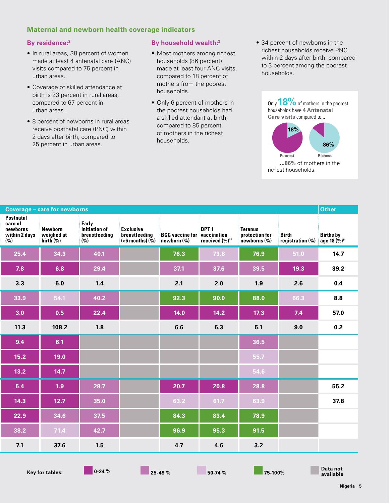#### **Maternal and newborn health coverage indicators**

#### **By residence:2**

- In rural areas, 38 percent of women made at least 4 antenatal care (ANC) visits compared to 75 percent in urban areas.
- Coverage of skilled attendance at birth is 23 percent in rural areas, compared to 67 percent in urban areas.
- 8 percent of newborns in rural areas receive postnatal care (PNC) within 2 days after birth, compared to 25 percent in urban areas.

#### **By household wealth:2**

- Most mothers among richest households (86 percent) made at least four ANC visits, compared to 18 percent of mothers from the poorest households.
- Only 6 percent of mothers in the poorest households had a skilled attendant at birth, compared to 85 percent of mothers in the richest households.
- 34 percent of newborns in the richest households receive PNC within 2 days after birth, compared to 3 percent among the poorest households.



| <b>Postnatal</b><br>care of<br>Early<br>initiation of<br>newborns<br>DPT <sub>1</sub><br>Exclusive<br>Newborn<br><b>Tetanus</b><br>protection for<br>weighed at<br>breastfeeding<br><b>breastfeeding</b> BCG vaccine f<br>(<6 months) (%) newborn (%)<br><b>BCG</b> vaccine for vaccination<br>within 2 days<br><b>Birth</b><br><b>Births by</b><br>(%)<br>(%)<br>registration (%)<br>received (%)**<br>birth $(\%)$<br>newborns (%)<br>age 18 $(\frac{6}{10})^*$<br>76.9<br>25.4<br>34.3<br>76.3<br>73.8<br>51.0<br>40.1<br>14.7<br>37.6<br>39.5<br>29.4<br>39.2<br>37.1<br>7.8<br>6.8<br>19.3<br>3.3<br>5.0<br>1.4<br>2.1<br>2.0<br>1.9<br>2.6<br>0.4<br>90.0<br>88.0<br>66.3<br>33.9<br>54.1<br>40.2<br>92.3<br>8.8<br>57.0<br>3.0<br>0.5<br>22.4<br>14.0<br>14.2<br>$17.3$<br>7.4<br>108.2<br>6.3<br>9.0<br>0.2<br>11.3<br>1.8<br>6.6<br>5.1<br>9.4<br>36.5<br>6.1<br>55.7<br>15.2<br>19.0<br>54.6<br>$13.2$<br>14.7<br>28.8<br>55.2<br>5.4<br>1.9 <sub>1</sub><br>28.7<br>20.7<br>20.8<br>63.9<br>37.8<br>12.7<br>35.0<br>63.2<br>61.7<br>14.3<br>34.6<br>84.3<br>83.4<br>78.9<br>22.9<br>37.5<br>95.3<br>71.4<br>91.5<br>38.2<br>42.7<br>96.9<br>4.7<br>4.6<br>7.1<br>37.6<br>1.5<br>3.2 | <b>Coverage - care for newborns</b> | Other |                |               |              |               |  |  |
|------------------------------------------------------------------------------------------------------------------------------------------------------------------------------------------------------------------------------------------------------------------------------------------------------------------------------------------------------------------------------------------------------------------------------------------------------------------------------------------------------------------------------------------------------------------------------------------------------------------------------------------------------------------------------------------------------------------------------------------------------------------------------------------------------------------------------------------------------------------------------------------------------------------------------------------------------------------------------------------------------------------------------------------------------------------------------------------------------------------------------------------------------------------------------------------------|-------------------------------------|-------|----------------|---------------|--------------|---------------|--|--|
|                                                                                                                                                                                                                                                                                                                                                                                                                                                                                                                                                                                                                                                                                                                                                                                                                                                                                                                                                                                                                                                                                                                                                                                                |                                     |       |                |               |              |               |  |  |
|                                                                                                                                                                                                                                                                                                                                                                                                                                                                                                                                                                                                                                                                                                                                                                                                                                                                                                                                                                                                                                                                                                                                                                                                |                                     |       |                |               |              |               |  |  |
|                                                                                                                                                                                                                                                                                                                                                                                                                                                                                                                                                                                                                                                                                                                                                                                                                                                                                                                                                                                                                                                                                                                                                                                                |                                     |       |                |               |              |               |  |  |
|                                                                                                                                                                                                                                                                                                                                                                                                                                                                                                                                                                                                                                                                                                                                                                                                                                                                                                                                                                                                                                                                                                                                                                                                |                                     |       |                |               |              |               |  |  |
|                                                                                                                                                                                                                                                                                                                                                                                                                                                                                                                                                                                                                                                                                                                                                                                                                                                                                                                                                                                                                                                                                                                                                                                                |                                     |       |                |               |              |               |  |  |
|                                                                                                                                                                                                                                                                                                                                                                                                                                                                                                                                                                                                                                                                                                                                                                                                                                                                                                                                                                                                                                                                                                                                                                                                |                                     |       |                |               |              |               |  |  |
|                                                                                                                                                                                                                                                                                                                                                                                                                                                                                                                                                                                                                                                                                                                                                                                                                                                                                                                                                                                                                                                                                                                                                                                                |                                     |       |                |               |              |               |  |  |
|                                                                                                                                                                                                                                                                                                                                                                                                                                                                                                                                                                                                                                                                                                                                                                                                                                                                                                                                                                                                                                                                                                                                                                                                |                                     |       |                |               |              |               |  |  |
|                                                                                                                                                                                                                                                                                                                                                                                                                                                                                                                                                                                                                                                                                                                                                                                                                                                                                                                                                                                                                                                                                                                                                                                                |                                     |       |                |               |              |               |  |  |
|                                                                                                                                                                                                                                                                                                                                                                                                                                                                                                                                                                                                                                                                                                                                                                                                                                                                                                                                                                                                                                                                                                                                                                                                |                                     |       |                |               |              |               |  |  |
|                                                                                                                                                                                                                                                                                                                                                                                                                                                                                                                                                                                                                                                                                                                                                                                                                                                                                                                                                                                                                                                                                                                                                                                                |                                     |       |                |               |              |               |  |  |
|                                                                                                                                                                                                                                                                                                                                                                                                                                                                                                                                                                                                                                                                                                                                                                                                                                                                                                                                                                                                                                                                                                                                                                                                |                                     |       |                |               |              |               |  |  |
|                                                                                                                                                                                                                                                                                                                                                                                                                                                                                                                                                                                                                                                                                                                                                                                                                                                                                                                                                                                                                                                                                                                                                                                                |                                     |       |                |               |              |               |  |  |
|                                                                                                                                                                                                                                                                                                                                                                                                                                                                                                                                                                                                                                                                                                                                                                                                                                                                                                                                                                                                                                                                                                                                                                                                |                                     |       |                |               |              |               |  |  |
|                                                                                                                                                                                                                                                                                                                                                                                                                                                                                                                                                                                                                                                                                                                                                                                                                                                                                                                                                                                                                                                                                                                                                                                                |                                     |       |                |               |              |               |  |  |
| Data not                                                                                                                                                                                                                                                                                                                                                                                                                                                                                                                                                                                                                                                                                                                                                                                                                                                                                                                                                                                                                                                                                                                                                                                       |                                     |       | $\blacksquare$ | $\mathcal{L}$ | $\mathbf{r}$ | $\mathcal{L}$ |  |  |

**Key for tables:** 0-24 % **25-49 % 25-49 % 50-74 % 75-100 %** 

**available**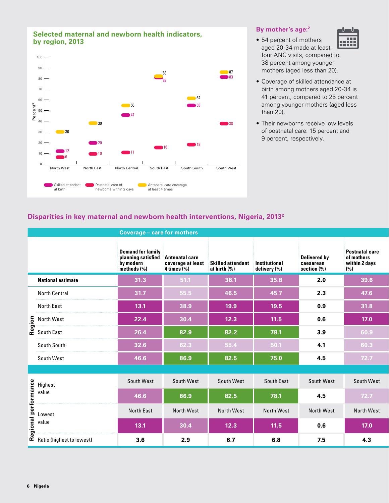

#### **By mother's age:2**

- 54 percent of mothers <u> HAAR</u> aged 20-34 made at least four ANC visits, compared to 38 percent among younger mothers (aged less than 20).
- Coverage of skilled attendance at birth among mothers aged 20-34 is 41 percent, compared to 25 percent among younger mothers (aged less than 20).
- Their newborns receive low levels of postnatal care: 15 percent and 9 percent, respectively.

#### **Disparities in key maternal and newborn health interventions, Nigeria, 20132**

|                                                | <b>Coverage - care for mothers</b>                                         |                                                              |                                   |                               |                                                    |                                                             |  |  |  |
|------------------------------------------------|----------------------------------------------------------------------------|--------------------------------------------------------------|-----------------------------------|-------------------------------|----------------------------------------------------|-------------------------------------------------------------|--|--|--|
|                                                | <b>Demand for family</b><br>planning satisfied<br>by modern<br>methods (%) | <b>Antenatal care</b><br>coverage at least<br>$4 \times (%)$ | Skilled attendant<br>at birth (%) | Institutional<br>delivery (%) | <b>Delivered by</b><br>caesarean<br>section $(\%)$ | <b>Postnatal care</b><br>of mothers<br>within 2 days<br>(%) |  |  |  |
| <b>National estimate</b>                       | 31.3                                                                       | 51.1                                                         | 38.1                              | 35.8                          | 2.0                                                | 39.6                                                        |  |  |  |
| <b>North Central</b>                           | 31.7                                                                       | 55.5                                                         | 46.5                              | 45.7                          | 2.3                                                | 47.6                                                        |  |  |  |
| North East                                     | 13.1                                                                       | 38.9                                                         | 19.9                              | 19.5                          | 0.9                                                | 31.8                                                        |  |  |  |
|                                                | 22.4                                                                       | 30.4                                                         | 12.3                              | $11.5$                        | 0.6                                                | 17.0                                                        |  |  |  |
| Soluth West<br>Soluth East<br>Coluth East      | 26.4                                                                       | 82.9                                                         | 82.2                              | 78.1                          | 3.9                                                | 60.9                                                        |  |  |  |
| South South                                    | 32.6                                                                       | 62.3                                                         | 55.4                              | 50.1                          | 4.1                                                | 60.3                                                        |  |  |  |
| South West                                     | 46.6                                                                       | 86.9                                                         | 82.5                              | 75.0                          | 4.5                                                | $72.7$                                                      |  |  |  |
|                                                |                                                                            |                                                              |                                   |                               |                                                    |                                                             |  |  |  |
|                                                | South West                                                                 | South West                                                   | South West                        | South East                    | South West                                         | South West                                                  |  |  |  |
|                                                | 46.6                                                                       | 86.9                                                         | 82.5                              | 78.1                          | 4.5                                                | $72.7$                                                      |  |  |  |
| e Highest<br>value<br>value<br>Paris (ki)      | North East                                                                 | North West                                                   | North West                        | North West                    | North West                                         | North West                                                  |  |  |  |
|                                                | 13.1                                                                       | 30.4                                                         | 12.3                              | $11.5$                        | 0.6                                                | 17.0                                                        |  |  |  |
| $\mathbf{\tilde{c}}$ Ratio (highest to lowest) | 3.6                                                                        | 2.9                                                          | 6.7                               | 6.8                           | 7.5                                                | 4.3                                                         |  |  |  |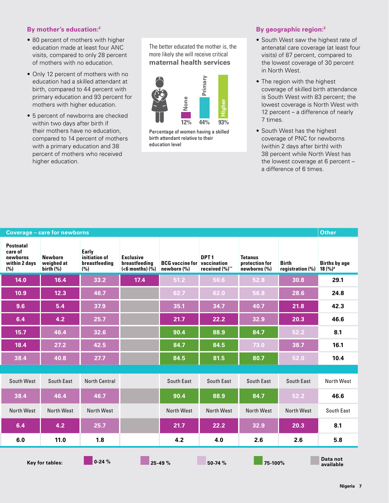#### **By mother's education:2**

- 80 percent of mothers with higher education made at least four ANC visits, compared to only 28 percent of mothers with no education.
- Only 12 percent of mothers with no education had a skilled attendant at birth, compared to 44 percent with primary education and 93 percent for mothers with higher education.
- 5 percent of newborns are checked within two days after birth if their mothers have no education, compared to 14 percent of mothers with a primary education and 38 percent of mothers who received higher education.

The better educated the mother is, the more likely she will receive critical **maternal health services**



Percentage of women having a skilled birth attendant relative to their education level

#### **By geographic region:2**

- South West saw the highest rate of antenatal care coverage (at least four visits) of 87 percent, compared to the lowest coverage of 30 percent in North West.
- The region with the highest coverage of skilled birth attendance is South West with 83 percent; the lowest coverage is North West with 12 percent – a difference of nearly 7 times.
- South West has the highest coverage of PNC for newborns (within 2 days after birth) with 38 percent while North West has the lowest coverage at 6 percent – a difference of 6 times.

| <b>Coverage - care for newborns</b>                             | Other                                |                                                |                                                                |                                                   |                                    |                                                      |                           |                                    |
|-----------------------------------------------------------------|--------------------------------------|------------------------------------------------|----------------------------------------------------------------|---------------------------------------------------|------------------------------------|------------------------------------------------------|---------------------------|------------------------------------|
| <b>Postnatal</b><br>care of<br>newborns<br>within 2 days<br>(%) | Newborn<br>weighed at<br>birth $(%)$ | Early<br>initiation of<br>breastfeeding<br>(%) | <b>Exclusive</b><br>breastfeeding<br>$(6 months) (\tilde{\%})$ | <b>BCG</b> vaccine for vaccination<br>newborn (%) | DPT <sub>1</sub><br>received (%)** | Tetanus<br>protection for<br>$new \$ newborns $(\%)$ | Birth<br>registration (%) | <b>Births by age</b><br>$18 (%)^*$ |
| 14.0                                                            | 16.4                                 | 33.2                                           | 17.4                                                           | 51.2                                              | 50.6                               | 52.8                                                 | 30.8                      | 29.1                               |
| 10.9                                                            | 12.3                                 | 46.7                                           |                                                                | 62.7                                              | 62.0                               | 56.8                                                 | 28.6                      | 24.8                               |
| 9.6                                                             | 5.4                                  | 37.9                                           |                                                                | 35.1                                              | 34.7                               | 40.7                                                 | 21.8                      | 42.3                               |
| 6.4                                                             | 4.2                                  | 25.7                                           |                                                                | 21.7                                              | 22.2                               | 32.9                                                 | 20.3                      | 46.6                               |
| $15.7$                                                          | 46.4                                 | 32.6                                           |                                                                | 90.4                                              | 88.9                               | 84.7                                                 | 52.2                      | 8.1                                |
| 18.4                                                            | 27.2                                 | 42.5                                           |                                                                | 84.7                                              | 84.5                               | 73.0                                                 | 38.7                      | 16.1                               |
| 38.4                                                            | 40.8                                 | 27.7                                           |                                                                | 84.5                                              | 81.5                               | 80.7                                                 | 52.0                      | 10.4                               |
|                                                                 |                                      |                                                |                                                                |                                                   |                                    |                                                      |                           |                                    |
| South West                                                      | South East                           | <b>North Central</b>                           |                                                                | South East                                        | South East                         | South East                                           | South East                | North West                         |
| 38.4                                                            | 46.4                                 | 46.7                                           |                                                                | 90.4                                              | 88.9                               | 84.7                                                 | 52.2                      | 46.6                               |
| North West                                                      | North West                           | North West                                     |                                                                | North West                                        | North West                         | North West                                           | North West                | South East                         |
| 6.4                                                             | 4.2                                  | 25.7                                           |                                                                | 21.7                                              | 22.2                               | 32.9                                                 | 20.3                      | 8.1                                |
| 6.0                                                             | 11.0                                 | 1.8                                            |                                                                | 4.2                                               | 4.0                                | 2.6                                                  | 2.6                       | 5.8                                |
|                                                                 | Key for tables:                      | $0-24%$                                        | $25-49%$                                                       |                                                   | 50-74 %                            | $75-100%$                                            |                           | Data not<br>available              |